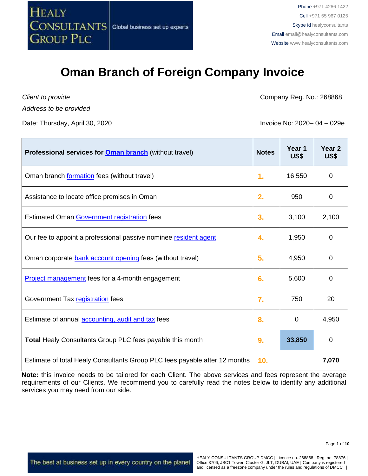

*Client to provide*

*Address to be provided*

Date: Thursday, April 30, 2020 Invoice No: 2020– 04 – 029e

Company Reg. No.: 268868

| Professional services for <b>Oman branch</b> (without travel)              | <b>Notes</b>     | Year 1<br>US\$ | Year <sub>2</sub><br>US\$ |
|----------------------------------------------------------------------------|------------------|----------------|---------------------------|
| Oman branch formation fees (without travel)                                | $\mathbf{1}$ .   | 16,550         | 0                         |
| Assistance to locate office premises in Oman                               | 2.               | 950            | 0                         |
| Estimated Oman Government registration fees                                | 3.               | 3,100          | 2,100                     |
| Our fee to appoint a professional passive nominee resident agent           | 4.               | 1,950          | 0                         |
| Oman corporate bank account opening fees (without travel)                  | 5.               | 4,950          | 0                         |
| <b>Project management</b> fees for a 4-month engagement                    | 6.               | 5,600          | 0                         |
| Government Tax registration fees                                           | $\overline{7}$ . | 750            | 20                        |
| Estimate of annual <b>accounting</b> , audit and tax fees                  | 8.               | 0              | 4,950                     |
| <b>Total Healy Consultants Group PLC fees payable this month</b>           | 9.               | 33,850         | 0                         |
| Estimate of total Healy Consultants Group PLC fees payable after 12 months | 10 <sub>1</sub>  |                | 7,070                     |

**Note:** this invoice needs to be tailored for each Client. The above services and fees represent the average requirements of our Clients. We recommend you to carefully read the notes below to identify any additional services you may need from our side.

The best at business set up in every country on the planet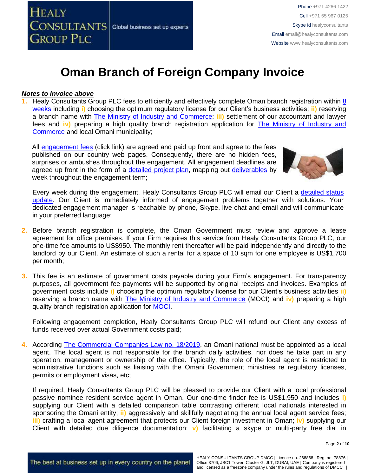

#### *Notes to invoice above*

**Healy Consultants Group PLC fees to efficiently and effectively complete Oman branch registration within [8](http://www.healyconsultants.com/oman-company-registration/fees-timelines/#timelines)** [weeks](http://www.healyconsultants.com/oman-company-registration/fees-timelines/#timelines) including **i)** choosing the optimum regulatory license for our Client's business activities; **ii)** reserving a branch name with [The Ministry of Industry and Commerce;](http://www.mocioman.gov.om/?lang=en-US) **iii)** settlement of our accountant and lawyer fees and **iv)** preparing a high quality branch registration application for [The Ministry of Industry and](http://www.mocioman.gov.om/?lang=en-US)  [Commerce](http://www.mocioman.gov.om/?lang=en-US) and local Omani municipality;

All [engagement fees](http://www.healyconsultants.com/company-registration-fees/) (click link) are agreed and paid up front and agree to the fees published on our country web pages. Consequently, there are no hidden fees, surprises or ambushes throughout the engagement. All engagement deadlines are agreed up front in the form of a [detailed project plan,](http://www.healyconsultants.com/index-important-links/example-project-plan/) mapping out [deliverables](http://www.healyconsultants.com/deliverables-to-our-clients/) by week throughout the engagement term;



Every week during the engagement, Healy Consultants Group PLC will email our Client a [detailed status](http://www.healyconsultants.com/index-important-links/weekly-engagement-status-email/)  [update.](http://www.healyconsultants.com/index-important-links/weekly-engagement-status-email/) Our Client is immediately informed of engagement problems together with solutions. Your dedicated engagement manager is reachable by phone, Skype, live chat and email and will communicate in your preferred language;

- **2.** Before branch registration is complete, the Oman Government must review and approve a lease agreement for office premises. If your Firm requires this service from Healy Consultants Group PLC, our one-time fee amounts to US\$950. The monthly rent thereafter will be paid independently and directly to the landlord by our Client. An estimate of such a rental for a space of 10 sqm for one employee is US\$1,700 per month;
- **3.** This fee is an estimate of government costs payable during your Firm's engagement. For transparency purposes, all government fee payments will be supported by original receipts and invoices. Examples of government costs include **i)** choosing the optimum regulatory license for our Client's business activities **ii)** reserving a branch name with [The Ministry of Industry and Commerce](http://www.mocioman.gov.om/?lang=en-US) (MOCI) and **iv)** preparing a high quality branch registration application for [MOCI.](http://www.mocioman.gov.om/?lang=en-US)

Following engagement completion, Healy Consultants Group PLC will refund our Client any excess of funds received over actual Government costs paid;

**4.** According [The Commercial Companies Law no.](http://images.mofcom.gov.cn/om/table/gsf.pdf) 18/2019, an Omani national must be appointed as a local agent. The local agent is not responsible for the branch daily activities, nor does he take part in any operation, management or ownership of the office. Typically, the role of the local agent is restricted to administrative functions such as liaising with the Omani Government ministries re regulatory licenses, permits or employment visas, etc;

If required, Healy Consultants Group PLC will be pleased to provide our Client with a local professional passive nominee resident service agent in Oman. Our one-time finder fee is US\$1,950 and includes **i)** supplying our Client with a detailed comparison table contrasting different local nationals interested in sponsoring the Omani entity; **ii)** aggressively and skillfully negotiating the annual local agent service fees; **iii)** crafting a local agent agreement that protects our Client foreign investment in Oman; **iv)** supplying our Client with detailed due diligence documentation; **v)** facilitating a skype or multi-party free dial in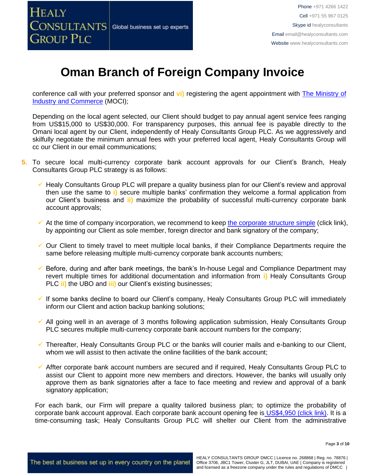

conference call with your preferred sponsor and **vi)** registering the agent appointment with [The Ministry of](http://www.mocioman.gov.om/?lang=en-US)  [Industry and](http://www.mocioman.gov.om/?lang=en-US) Commerce (MOCI);

Depending on the local agent selected, our Client should budget to pay annual agent service fees ranging from US\$15,000 to US\$30,000. For transparency purposes, this annual fee is payable directly to the Omani local agent by our Client, independently of Healy Consultants Group PLC. As we aggressively and skilfully negotiate the minimum annual fees with your preferred local agent, Healy Consultants Group will cc our Client in our email communications;

- **5.** To secure local multi-currency corporate bank account approvals for our Client's Branch, Healy Consultants Group PLC strategy is as follows:
	- ✓ Healy Consultants Group PLC will prepare a quality business plan for our Client's review and approval then use the same to **i)** secure multiple banks' confirmation they welcome a formal application from our Client's business and **ii)** maximize the probability of successful multi-currency corporate bank account approvals;
	- $\checkmark$  At the time of company incorporation, we recommend to keep [the corporate structure simple](https://www.healyconsultants.com/about-us/complex-client-engagements/simplify-business-setup/) (click link), by appointing our Client as sole member, foreign director and bank signatory of the company;
	- ✓ Our Client to timely travel to meet multiple local banks, if their Compliance Departments require the same before releasing multiple multi-currency corporate bank accounts numbers;
	- $\checkmark$  Before, during and after bank meetings, the bank's In-house Legal and Compliance Department may revert multiple times for additional documentation and information from **i)** Healy Consultants Group PLC **ii)** the UBO and **iii)** our Client's existing businesses;
	- ✓ If some banks decline to board our Client's company, Healy Consultants Group PLC will immediately inform our Client and action backup banking solutions;
	- ✓ All going well in an average of 3 months following application submission, Healy Consultants Group PLC secures multiple multi-currency corporate bank account numbers for the company;
	- ✓ Thereafter, Healy Consultants Group PLC or the banks will courier mails and e-banking to our Client, whom we will assist to then activate the online facilities of the bank account;
	- ✓ Affter corporate bank account numbers are secured and if required, Healy Consultants Group PLC to assist our Client to appoint more new members and directors. However, the banks will usually only approve them as bank signatories after a face to face meeting and review and approval of a bank signatory application;

For each bank, our Firm will prepare a quality tailored business plan; to optimize the probability of corporate bank account approval. Each corporate bank account opening fee is US\$4,950 [\(click link\).](https://www.healyconsultants.com/global-corporate-banking-for-resident-company/) It is a time-consuming task; Healy Consultants Group PLC will shelter our Client from the administrative

Page **3** of **10**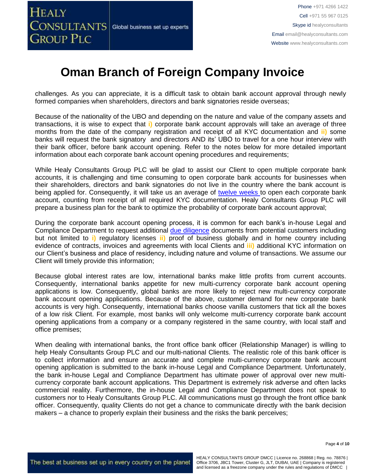challenges. As you can appreciate, it is a difficult task to obtain bank account approval through newly formed companies when shareholders, directors and bank signatories reside overseas;

Because of the nationality of the UBO and depending on the nature and value of the company assets and transactions, it is wise to expect that **i)** corporate bank account approvals will take an average of three months from the date of the company registration and receipt of all KYC documentation and **ii)** some banks will request the bank signatory and directors AND its' UBO to travel for a one hour interview with their bank officer, before bank account opening. Refer to the notes below for more detailed important information about each corporate bank account opening procedures and requirements;

While Healy Consultants Group PLC will be glad to assist our Client to open multiple corporate bank accounts, it is challenging and time consuming to open corporate bank accounts for businesses when their shareholders, directors and bank signatories do not live in the country where the bank account is being applied for. Consequently, it will take us an average of [twelve weeks](http://www.healyconsultants.com/international-banking/bitcoin-business-bank-account/) to open each corporate bank account, counting from receipt of all required KYC documentation. Healy Consultants Group PLC will prepare a business plan for the bank to optimize the probability of corporate bank account approval;

During the corporate bank account opening process, it is common for each bank's in-house Legal and Compliance Department to request additional [due diligence](http://www.healyconsultants.com/due-diligence/) documents from potential customers including but not limited to **i)** regulatory licenses **ii)** proof of business globally and in home country including evidence of contracts, invoices and agreements with local Clients and **iii)** additional KYC information on our Client's business and place of residency, including nature and volume of transactions. We assume our Client will timely provide this information;

Because global interest rates are low, international banks make little profits from current accounts. Consequently, international banks appetite for new multi-currency corporate bank account opening applications is low. Consequently, global banks are more likely to reject new multi-currency corporate bank account opening applications. Because of the above, customer demand for new corporate bank accounts is very high. Consequently, international banks choose vanilla customers that tick all the boxes of a low risk Client. For example, most banks will only welcome multi-currency corporate bank account opening applications from a company or a company registered in the same country, with local staff and office premises;

When dealing with international banks, the front office bank officer (Relationship Manager) is willing to help Healy Consultants Group PLC and our multi-national Clients. The realistic role of this bank officer is to collect information and ensure an accurate and complete multi-currency corporate bank account opening application is submitted to the bank in-house Legal and Compliance Department. Unfortunately, the bank in-house Legal and Compliance Department has ultimate power of approval over new multicurrency corporate bank account applications. This Department is extremely risk adverse and often lacks commercial reality. Furthermore, the in-house Legal and Compliance Department does not speak to customers nor to Healy Consultants Group PLC. All communications must go through the front office bank officer. Consequently, quality Clients do not get a chance to communicate directly with the bank decision makers – a chance to properly explain their business and the risks the bank perceives;

Page **4** of **10**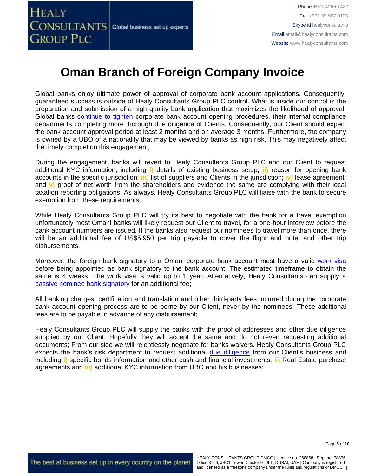Global banks enjoy ultimate power of approval of corporate bank account applications. Consequently, guaranteed success is outside of Healy Consultants Group PLC control. What is inside our control is the preparation and submission of a high quality bank application that maximizes the likelihood of approval. Global banks [continue to tighten](https://www.healyconsultants.com/international-banking/opening-corporate-bank-accounts/) corporate bank account opening procedures, their internal compliance departments completing more thorough due diligence of Clients. Consequently, our Client should expect the bank account approval period at least 2 months and on average 3 months. Furthermore, the company is owned by a UBO of a nationality that may be viewed by banks as high risk. This may negatively affect the timely completion this engagement;

During the engagement, banks will revert to Healy Consultants Group PLC and our Client to request additional KYC information, including **i)** details of existing business setup; **ii)** reason for opening bank accounts in the specific jurisdiction; **iii)** list of suppliers and Clients in the jurisdiction; i**v)** lease agreement; and **v)** proof of net worth from the shareholders and evidence the same are complying with their local taxation reporting obligations. As always, Healy Consultants Group PLC will liaise with the bank to secure exemption from these requirements;

While Healy Consultants Group PLC will try its best to negotiate with the bank for a travel exemption unfortunately most Omani banks will likely request our Client to travel, for a one-hour interview before the bank account numbers are issued. If the banks also request our nominees to travel more than once, there will be an additional fee of US\$5,950 per trip payable to cover the flight and hotel and other trip disbursements.

Moreover, the foreign bank signatory to a Omani corporate bank account must have a valid [work](https://www.healyconsultants.com/oman-company-registration/formation-support-services/) visa before being appointed as bank signatory to the bank account. The estimated timeframe to obtain the same is 4 weeks. The work visa is valid up to 1 year. Alternatively, Healy Consultants can supply a [passive nominee bank signatory](http://www.healyconsultants.com/corporate-banking-services/nominee-bank-signatory/) for an additional fee;

All banking charges, certification and translation and other third-party fees incurred during the corporate bank account opening process are to be borne by our Client, never by the nominees. These additional fees are to be payable in advance of any disbursement;

Healy Consultants Group PLC will supply the banks with the proof of addresses and other due diligence supplied by our Client. Hopefully they will accept the same and do not revert requesting additional documents; From our side we will relentlessly negotiate for banks waivers. Healy Consultants Group PLC expects the bank's risk department to request additional [due diligence](http://www.healyconsultants.com/due-diligence/) from our Client's business and including **i)** specific bonds information and other cash and financial investments; **ii)** Real Estate purchase agreements and **iii)** additional KYC information from UBO and his businesses;

Page **5** of **10**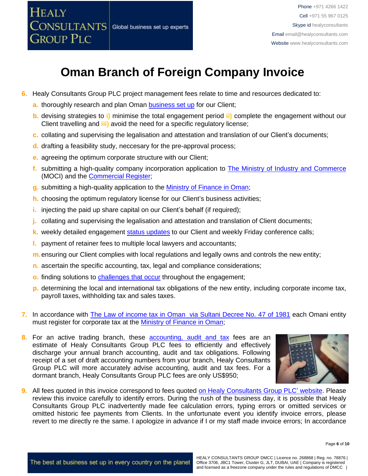

- **6.** Healy Consultants Group PLC project management fees relate to time and resources dedicated to:
	- **a.** thoroughly research and plan Oman **[business set up](http://www.healyconsultants.com/oman-company-registration/)** for our Client;
	- **b.** devising strategies to **i)** minimise the total engagement period **ii)** complete the engagement without our Client travelling and **iii)** avoid the need for a specific regulatory license;
	- **c.** collating and supervising the legalisation and attestation and translation of our Client's documents;
	- **d.** drafting a feasibility study, neccesary for the pre-approval process;
	- **e.** agreeing the optimum corporate structure with our Client;
	- **f.** submitting a high-quality company incorporation application to [The Ministry of Industry and Commerce](http://www.mocioman.gov.om/?lang=en-US) (MOCI) and the [Commercial Register;](https://www.business.gov.om/)
	- **g.** submitting a high-quality application to the [Ministry of Finance in Oman;](http://www.taxoman.gov.om/company_tax.html#main-page)
	- **h.** choosing the optimum regulatory license for our Client's business activities;
	- **i.** injecting the paid up share capital on our Client's behalf (if required);
	- **j.** collating and supervising the legalisation and attestation and translation of Client documents;
	- **k.** weekly detailed engagement [status updates](http://www.healyconsultants.com/index-important-links/weekly-engagement-status-email/) to our Client and weekly Friday conference calls;
	- **l.** payment of retainer fees to multiple local lawyers and accountants;
	- **m.**ensuring our Client complies with local regulations and legally owns and controls the new entity;
	- **n.** ascertain the specific accounting, tax, legal and compliance considerations;
	- **o.** finding solutions to **challenges that occur** throughout the engagement;
	- **p.** determining the local and international tax obligations of the new entity, including corporate income tax, payroll taxes, withholding tax and sales taxes.
- **7.** In accordance with [The Law of income tax in Oman via Sultani Decree No. 47 of 1981](http://www.taxoman.gov.om/companies%20law%20in%20English.pdf) each Omani entity must register for corporate tax at the [Ministry of Finance in Oman;](http://www.taxoman.gov.om/company_tax.html#main-page)
- **8.** For an active trading branch, these [accounting, audit](http://www.healyconsultants.com/oman-company-registration/accounting-legal/) and tax fees are an estimate of Healy Consultants Group PLC fees to efficiently and effectively discharge your annual branch accounting, audit and tax obligations. Following receipt of a set of draft accounting numbers from your branch, Healy Consultants Group PLC will more accurately advise accounting, audit and tax fees. For a dormant branch, Healy Consultants Group PLC fees are only US\$950;



**9.** All fees quoted in this invoice correspond to fees quoted [on Healy Consultants Group PLC' website.](http://www.healyconsultants.com/company-registration-fees/) Please review this invoice carefully to identify errors. During the rush of the business day, it is possible that Healy Consultants Group PLC inadvertently made fee calculation errors, typing errors or omitted services or omitted historic fee payments from Clients. In the unfortunate event you identify invoice errors, please revert to me directly re the same. I apologize in advance if I or my staff made invoice errors; In accordance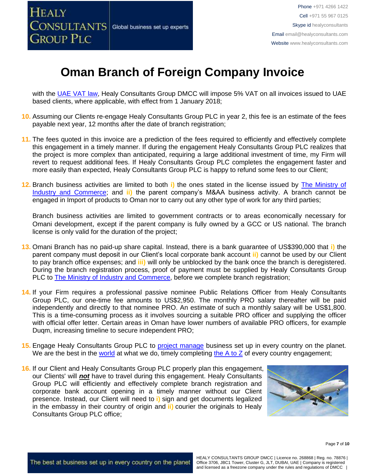

with the [UAE VAT law,](https://www.tax.gov.ae/legislation.aspx) Healy Consultants Group DMCC will impose 5% VAT on all invoices issued to UAE based clients, where applicable, with effect from 1 January 2018;

- **10.** Assuming our Clients re-engage Healy Consultants Group PLC in year 2, this fee is an estimate of the fees payable next year, 12 months after the date of branch registration;
- **11.** The fees quoted in this invoice are a prediction of the fees required to efficiently and effectively complete this engagement in a timely manner. If during the engagement Healy Consultants Group PLC realizes that the project is more complex than anticipated, requiring a large additional investment of time, my Firm will revert to request additional fees. If Healy Consultants Group PLC completes the engagement faster and more easily than expected, Healy Consultants Group PLC is happy to refund some fees to our Client;
- **12.** Branch business activities are limited to both **i)** the ones stated in the license issued by [The Ministry of](http://www.mocioman.gov.om/?lang=en-US)  [Industry and Commerce;](http://www.mocioman.gov.om/?lang=en-US) and **ii)** the parent company's M&AA business activity. A branch cannot be engaged in Import of products to Oman nor to carry out any other type of work for any third parties;

Branch business activities are limited to government contracts or to areas economically necessary for Omani development, except if the parent company is fully owned by a GCC or US national. The branch license is only valid for the duration of the project;

- **13.** Omani Branch has no paid-up share capital. Instead, there is a bank guarantee of US\$390,000 that **i)** the parent company must deposit in our Client's local corporate bank account **ii)** cannot be used by our Client to pay branch office expenses; and **iii)** will only be unblocked by the bank once the branch is deregistered. During the branch registration process, proof of payment must be supplied by Healy Consultants Group PLC to **The Ministry of Industry and Commerce**, before we complete branch registration;
- **14.** If your Firm requires a professional passive nominee Public Relations Officer from Healy Consultants Group PLC, our one-time fee amounts to US\$2,950. The monthly PRO salary thereafter will be paid independently and directly to that nominee PRO. An estimate of such a monthly salary will be US\$1,800. This is a time-consuming process as it involves sourcing a suitable PRO officer and supplying the officer with official offer letter. Certain areas in Oman have lower numbers of available PRO officers, for example Duqm, increasing timeline to secure independent PRO;
- **15.** Engage Healy Consultants Group PLC to [project manage](http://www.healyconsultants.com/project-manage-engagements/) business set up in every country on the planet. We are the best in the [world](http://www.healyconsultants.com/best-in-the-world/) at what we do, timely completing the  $A$  to  $Z$  of every country engagement;
- **16.** If our Client and Healy Consultants Group PLC properly plan this engagement, our Clients' will *not* have to travel during this engagement. Healy Consultants Group PLC will efficiently and effectively complete branch registration and corporate bank account opening in a timely manner without our Client presence. Instead, our Client will need to **i)** sign and get documents legalized in the embassy in their country of origin and **ii)** courier the originals to Healy Consultants Group PLC office;



HEALY CONSULTANTS GROUP DMCC | Licence no. 268868 | Reg. no. 78876 | Office 3706, JBC1 Tower, Cluster G, JLT, DUBAI, UAE | Company is registered and licensed as a freezone company under the rules and regulations of DMCC |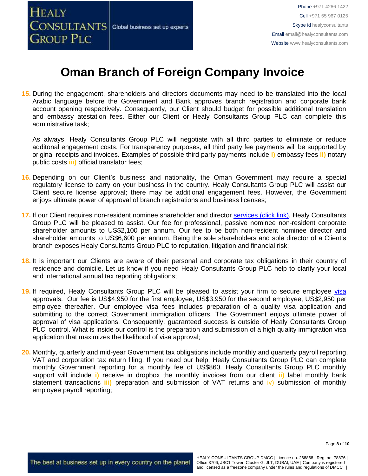

**15.** During the engagement, shareholders and directors documents may need to be translated into the local Arabic language before the Government and Bank approves branch registration and corporate bank account opening respectively. Consequently, our Client should budget for possible additional translation and embassy atestation fees. Either our Client or Healy Consultants Group PLC can complete this administrative task;

As always, Healy Consultants Group PLC will negotiate with all third parties to eliminate or reduce additonal engagement costs. For transparency purposes, all third party fee payments will be supported by original receipts and invoices. Examples of possible third party payments include **i)** embassy fees **ii)** notary public costs **iii)** official translator fees;

- **16.** Depending on our Client's business and nationality, the Oman Government may require a special regulatory license to carry on your business in the country. Healy Consultants Group PLC will assist our Client secure license approval; there may be additional engagement fees. However, the Government enjoys ultimate power of approval of branch registrations and business licenses;
- 17. If our Client requires non-resident nominee shareholder and director services [\(click link\),](http://www.healyconsultants.com/corporate-outsourcing-services/nominee-shareholders-directors/) Healy Consultants Group PLC will be pleased to assist. Our fee for professional, passive nominee non-resident corporate shareholder amounts to US\$2,100 per annum. Our fee to be both non-resident nominee director and shareholder amounts to US\$6,600 per annum. Being the sole shareholders and sole director of a Client's branch exposes Healy Consultants Group PLC to reputation, litigation and financial risk;
- **18.** It is important our Clients are aware of their personal and corporate tax obligations in their country of residence and domicile. Let us know if you need Healy Consultants Group PLC help to clarify your local and international annual tax reporting obligations;
- **19.** If required, Healy Consultants Group PLC will be pleased to assist your firm to secure employee [visa](http://www.healyconsultants.com/oman-company-registration/formation-support-services/) approvals. Our fee is US\$4,950 for the first employee, US\$3,950 for the second employee, US\$2,950 per employee thereafter. Our employee visa fees includes preparation of a quality visa application and submitting to the correct Government immigration officers. The Government enjoys ultimate power of approval of visa applications. Consequently, guaranteed success is outside of Healy Consultants Group PLC' control. What is inside our control is the preparation and submission of a high quality immigration visa application that maximizes the likelihood of visa approval;
- **20.** Monthly, quarterly and mid-year Government tax obligations include monthly and quarterly payroll reporting, VAT and corporation tax return filing. If you need our help, Healy Consultants Group PLC can complete monthly Government reporting for a monthly fee of US\$860. Healy Consultants Group PLC monthly support will include **i)** receive in dropbox the monthly invoices from our client **ii)** label monthly bank statement transactions **iii)** preparation and submission of VAT returns and iv) submission of monthly employee payroll reporting;

Page **8** of **10**

The best at business set up in every country on the planet

HEALY CONSULTANTS GROUP DMCC | Licence no. 268868 | Reg. no. 78876 | Office 3706, JBC1 Tower, Cluster G, JLT, DUBAI, UAE | Company is registered and licensed as a freezone company under the rules and regulations of DMCC |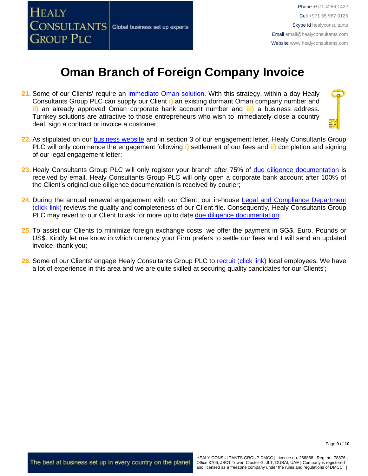

- **21.** Some of our Clients' require an [immediate Oman](http://www.healyconsultants.com/turnkey-solutions/) solution. With this strategy, within a day Healy Consultants Group PLC can supply our Client **i)** an existing dormant Oman company number and **ii)** an already approved Oman corporate bank account number and **iii)** a business address. Turnkey solutions are attractive to those entrepreneurs who wish to immediately close a country deal, sign a contract or invoice a customer;
- **22.** As stipulated on our [business website](http://www.healyconsultants.com/) and in section 3 of our engagement letter, Healy Consultants Group PLC will only commence the engagement following **i)** settlement of our fees and **ii)** completion and signing of our legal engagement letter;
- **23.** Healy Consultants Group PLC will only register your branch after 75% of [due diligence documentation](http://www.healyconsultants.com/due-diligence/) is received by email. Healy Consultants Group PLC will only open a corporate bank account after 100% of the Client's original due diligence documentation is received by courier;
- **24.** During the annual renewal engagement with our Client, our in-house [Legal and Compliance Department](http://www.healyconsultants.com/about-us/key-personnel/cai-xin-profile/)  [\(click link\)](http://www.healyconsultants.com/about-us/key-personnel/cai-xin-profile/) reviews the quality and completeness of our Client file. Consequently, Healy Consultants Group PLC may revert to our Client to ask for more up to date [due diligence documentation;](http://www.healyconsultants.com/due-diligence/)
- **25.** To assist our Clients to minimize foreign exchange costs, we offer the payment in SG\$, Euro, Pounds or US\$. Kindly let me know in which currency your Firm prefers to settle our fees and I will send an updated invoice, thank you;
- 26. Some of our Clients' engage Healy Consultants Group PLC to [recruit \(click link\)](http://www.healyconsultants.com/corporate-outsourcing-services/how-we-help-our-clients-recruit-quality-employees/) local employees. We have a lot of experience in this area and we are quite skilled at securing quality candidates for our Clients';

The best at business set up in every country on the planet

HEALY CONSULTANTS GROUP DMCC | Licence no. 268868 | Reg. no. 78876 | Office 3706, JBC1 Tower, Cluster G, JLT, DUBAI, UAE | Company is registered and licensed as a freezone company under the rules and regulations of DMCC |